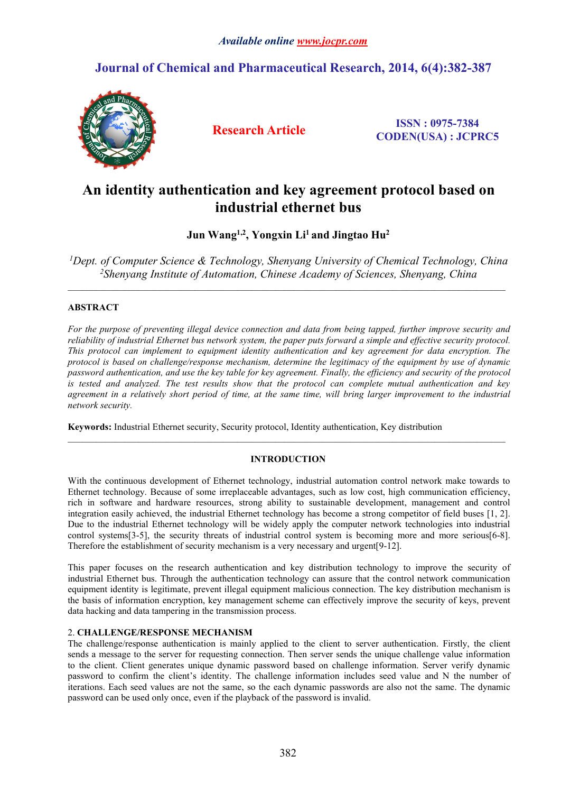# *Available online [www.jocpr.com](http://www.jocpr.com)*

# **Journal of Chemical and Pharmaceutical Research, 2014, 6(4):382-387**



**Research Article ISSN : 0975-7384 CODEN(USA) : JCPRC5**

# **An identity authentication and key agreement protocol based on industrial ethernet bus**

**Jun Wang1,2 , Yongxin Li<sup>1</sup> and Jingtao Hu<sup>2</sup>**

*<sup>1</sup>Dept. of Computer Science & Technology, Shenyang University of Chemical Technology, China <sup>2</sup>Shenyang Institute of Automation, Chinese Academy of Sciences, Shenyang, China*

 $\_$  , and the state of the state of the state of the state of the state of the state of the state of the state of the state of the state of the state of the state of the state of the state of the state of the state of the

 $\_$  , and the state of the state of the state of the state of the state of the state of the state of the state of the state of the state of the state of the state of the state of the state of the state of the state of the

## **ABSTRACT**

For the purpose of preventing illegal device connection and data from being tapped, further improve security and reliability of industrial Ethernet bus network system, the paper puts forward a simple and effective security protocol. *This protocol can implement to equipment identity authentication and key agreement for data encryption. The protocol is based on challenge/response mechanism, determine the legitimacy of the equipment by use of dynamic* password authentication, and use the key table for key agreement. Finally, the efficiency and security of the protocol is tested and analyzed. The test results show that the protocol can complete mutual authentication and key agreement in a relatively short period of time, at the same time, will bring larger improvement to the industrial *network security.*

**Keywords:** Industrial Ethernet security, Security protocol, Identity authentication, Key distribution

## **INTRODUCTION**

With the continuous development of Ethernet technology, industrial automation control network make towards to Ethernet technology. Because of some irreplaceable advantages, such as low cost, high communication efficiency, rich in software and hardware resources, strong ability to sustainable development, management and control integration easily achieved, the industrial Ethernet technology has become a strong competitor of field buses [1, 2]. Due to the industrial Ethernet technology will be widely apply the computer network technologies into industrial control systems[3-5], the security threats of industrial control system is becoming more and more serious[6-8]. Therefore the establishment of security mechanism is a very necessary and urgent[9-12].

This paper focuses on the research authentication and key distribution technology to improve the security of industrial Ethernet bus. Through the authentication technology can assure that the control network communication equipment identity is legitimate, prevent illegal equipment malicious connection. The key distribution mechanism is the basis of information encryption, key management scheme can effectively improve the security of keys, prevent data hacking and data tampering in the transmission process.

# 2. **CHALLENGE/RESPONSE MECHANISM**

The challenge/response authentication is mainly applied to the client to server authentication. Firstly, the client sends a message to the server for requesting connection. Then server sends the unique challenge value information to the client. Client generates unique dynamic password based on challenge information. Server verify dynamic password to confirm the client's identity. The challenge information includes seed value and N the number of iterations. Each seed values are not the same, so the each dynamic passwords are also not the same. The dynamic password can be used only once, even if the playback of the password is invalid.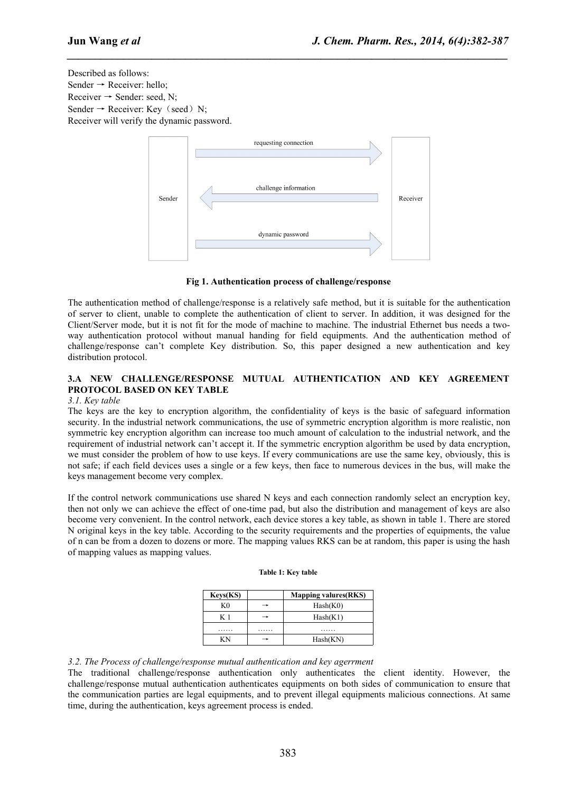*\_\_\_\_\_\_\_\_\_\_\_\_\_\_\_\_\_\_\_\_\_\_\_\_\_\_\_\_\_\_\_\_\_\_\_\_\_\_\_\_\_\_\_\_\_\_\_\_\_\_\_\_\_\_\_\_\_\_\_\_\_\_\_\_\_\_\_\_\_\_\_\_\_\_\_\_\_\_*

Described as follows: Sender  $\rightarrow$  Receiver: hello; Receiver  $\rightarrow$  Sender: seed, N; Sender  $\rightarrow$  Receiver: Key (seed) N; Receiver will verify the dynamic password.



**Fig 1. Authentication process ofchallenge/response**

The authentication method of challenge/response is a relatively safe method, but it is suitable for the authentication of server to client, unable to complete the authentication of client to server. In addition, it was designed for the Client/Server mode, but it is not fit for the mode of machine to machine. The industrial Ethernet bus needs a twoway authentication protocol without manual handing for field equipments. And the authentication method of challenge/response can't complete Key distribution. So, this paper designed anew authentication and key distribution protocol.

# **3.A NEW CHALLENGE/RESPONSE MUTUAL AUTHENTICATION AND KEY AGREEMENT PROTOCOL BASED ON KEY TABLE**

## *3.1. Key table*

The keys are the key to encryption algorithm, the confidentiality of keys is the basic of safeguard information security. In the industrial network communications, the use of symmetric encryption algorithm is more realistic, non symmetric key encryption algorithm can increase too much amount of calculation to the industrial network, and the requirement of industrial network can't accept it. If the symmetric encryption algorithm be used by data encryption, we must consider the problem of how to use keys. If every communications are use the same key, obviously, this is not safe; if each field devices uses a single or a few keys, then face to numerous devices in the bus, will make the keys management become very complex.

If the control network communications use shared N keys and each connection randomly select an encryption key, then not only we can achieve the effect of one-time pad, but also the distribution and management of keys are also become very convenient. In the control network, each device stores a key table, as shown in table 1. There are stored N original keys in the key table. According to the security requirements and the properties of equipments, the value of n can be from a dozen to dozens ormore. The mapping values RKS can be at random, this paper is using the hash of mapping values as mapping values.

| <b>Keys(KS)</b> |   | <b>Mapping valures (RKS)</b> |
|-----------------|---|------------------------------|
| K <sub>0</sub>  | → | Hash(K0)                     |
| K 1             | → | Hash(K1)                     |
| .               | . | .                            |
| ΚN              | → | Hash(KN)                     |

#### **Table 1: Key table**

## *3.2. The Process of challenge/response mutual authentication and key agerrment*

The traditional challenge/response authentication only authenticates the client identity. However, the challenge/response mutual authentication authenticates equipments on both sides of communication to ensure that the communication parties are legal equipments, and to prevent illegal equipments malicious connections. At same time, during the authentication, keys agreement process is ended.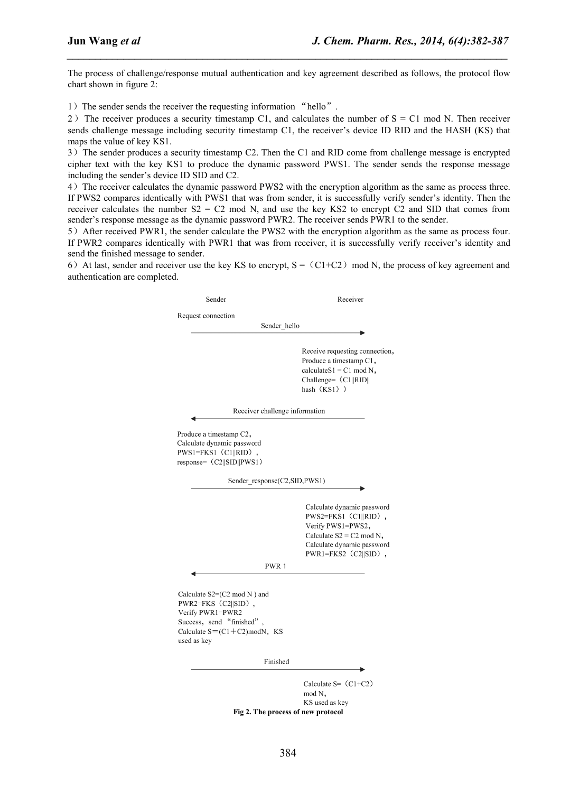The process of challenge/response mutual authentication and key agreement described as follows, the protocol flow chart shown in figure 2:

*\_\_\_\_\_\_\_\_\_\_\_\_\_\_\_\_\_\_\_\_\_\_\_\_\_\_\_\_\_\_\_\_\_\_\_\_\_\_\_\_\_\_\_\_\_\_\_\_\_\_\_\_\_\_\_\_\_\_\_\_\_\_\_\_\_\_\_\_\_\_\_\_\_\_\_\_\_\_*

1) The sender sends the receiver the requesting information "hello".

2) The receiver produces a security timestamp C1, and calculates the number of  $S = C1$  mod N. Then receiver sends challenge message including security timestamp C1, the receiver's device ID RID and the HASH (KS) that maps the value of key KS1.

3)The sender produces a security timestamp C2. Then the C1 and RID come from challenge message is encrypted cipher text with the key KS1 to produce the dynamic password PWS1. The sender sends the response message including the sender's device ID SID and C2.

4)The receiver calculates the dynamic password PWS2 with the encryption algorithm as the same as process three. If PWS2 compares identically with PWS1 that was from sender, it is successfully verify sender's identity. Then the receiver calculates the number  $S2 = C2$  mod N, and use the key KS2 to encrypt C2 and SID that comes from sender's response message as the dynamic password PWR2. The receiver sends PWR1 to the sender.

5)After received PWR1, the sender calculate the PWS2 with the encryption algorithm as the same as process four. If PWR2 compares identically with PWR1 that was from receiver, it is successfully verify receiver's identity and send the finished message to sender.

6) At last, sender and receiver use the key KS to encrypt,  $S = (C1+C2) \mod N$ , the process of key agreement and authentication are completed.

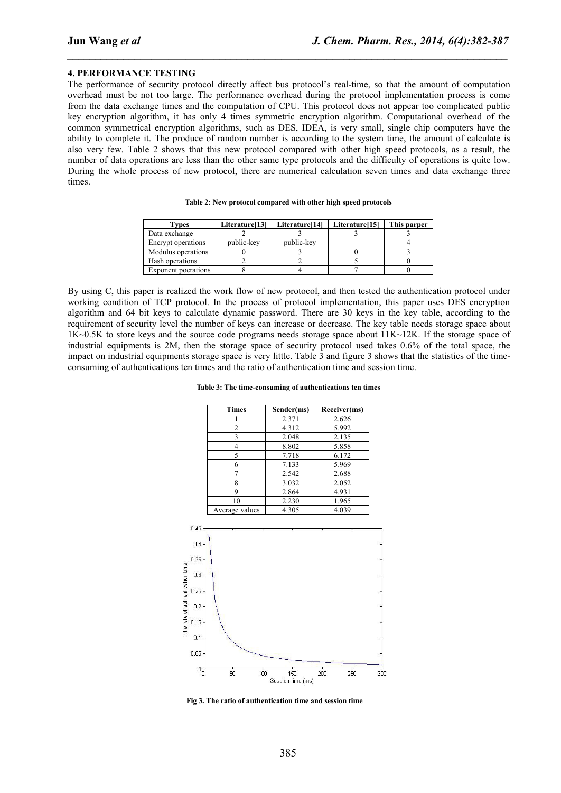#### **4. PERFORMANCE TESTING**

The performance of security protocol directly affect bus protocol's real-time, so that the amount of computation overhead must be not too large. The performance overhead during the protocol implementation process is come from the data exchange times and the computation of CPU. This protocol does not appear too complicated public key encryption algorithm, it has only 4 times symmetric encryption algorithm. Computational overhead of the common symmetrical encryption algorithms, such as DES, IDEA, is very small, single chip computers have the ability to complete it. The produce of random number is according to the system time, the amount of calculate is also very few. Table 2 shows that this new protocol compared with other high speed protocols, as a result, the number of data operations are less than the other same type protocols and the difficulty of operations is quite low. During the whole process of new protocol, there are numerical calculation seven times and data exchange three times.

*\_\_\_\_\_\_\_\_\_\_\_\_\_\_\_\_\_\_\_\_\_\_\_\_\_\_\_\_\_\_\_\_\_\_\_\_\_\_\_\_\_\_\_\_\_\_\_\_\_\_\_\_\_\_\_\_\_\_\_\_\_\_\_\_\_\_\_\_\_\_\_\_\_\_\_\_\_\_*

| Types               | Literature[13] | Literature[14] | Literature <sup>[15]</sup> | This parper |
|---------------------|----------------|----------------|----------------------------|-------------|
| Data exchange       |                |                |                            |             |
| Encrypt operations  | public-key     | public-key     |                            |             |
| Modulus operations  |                |                |                            |             |
| Hash operations     |                |                |                            |             |
| Exponent poerations |                |                |                            |             |

**Table 2: New protocol compared with other high speed protocols**

By using C, this paper is realized the work flow of new protocol, and then tested the authentication protocol under working condition of TCP protocol. In the process of protocol implementation, this paper uses DES encryption algorithm and 64 bit keys to calculate dynamic password. There are 30 keys in the key table, according to the requirement of security level the number of keys can increase or decrease. The key table needs storage space about 1K~0.5K to store keys and the source code programs needs storage space about 11K~12K. If the storage space of industrial equipments is 2M, then the storage space of security protocol used takes 0.6% of the total space, the impact on industrial equipments storage space is very little. Table 3 and figure 3 shows that the statistics of the timeconsuming of authentications ten times and the ratio of authentication time and session time.

**Table 3: The time-consuming of authentications ten times**

| <b>Times</b>   | Sender(ms) | Receiver(ms) |
|----------------|------------|--------------|
|                | 2.371      | 2.626        |
| 2              | 4.312      | 5.992        |
| 3              | 2.048      | 2.135        |
|                | 8.802      | 5.858        |
| 5              | 7.718      | 6.172        |
| 6              | 7.133      | 5.969        |
|                | 2.542      | 2.688        |
| 8              | 3.032      | 2.052        |
| 9              | 2.864      | 4.931        |
| 10             | 2.230      | 1.965        |
| Average values | 4.305      | 4.039        |



**Fig 3. The ratio of authentication timeand session time**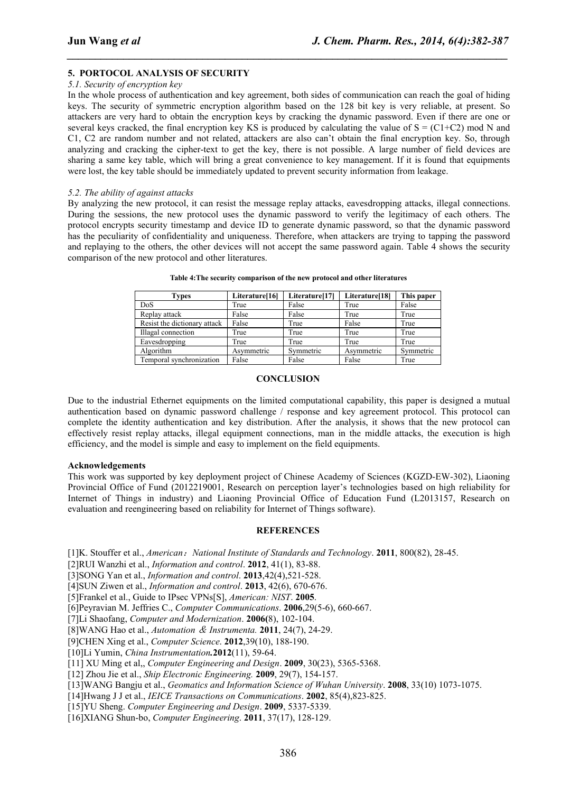## **5. PORTOCOL ANALYSIS OF SECURITY**

#### *5.1. Security of encryption key*

In the whole process of authentication and key agreement, both sides of communication can reach the goal of hiding keys. The security of symmetric encryption algorithm based on the 128 bit key is very reliable, at present. So attackers are very hard to obtain the encryption keys by cracking the dynamic password. Even if there are one or several keys cracked, the final encryption key KS is produced by calculating the value of  $S = (C1+C2)$  mod N and C1, C2 are random number and not related, attackers are also can't obtain the final encryption key. So, through analyzing and cracking the cipher-text to get the key, there is not possible. A large number of field devices are sharing a same key table, which will bring a great convenience to key management. If it is found that equipments were lost, the key table should be immediately updated to prevent security information from leakage.

*\_\_\_\_\_\_\_\_\_\_\_\_\_\_\_\_\_\_\_\_\_\_\_\_\_\_\_\_\_\_\_\_\_\_\_\_\_\_\_\_\_\_\_\_\_\_\_\_\_\_\_\_\_\_\_\_\_\_\_\_\_\_\_\_\_\_\_\_\_\_\_\_\_\_\_\_\_\_*

#### *5.2. The ability of against attacks*

By analyzing the new protocol, it can resist the message replay attacks, eavesdropping attacks, illegal connections. During the sessions, the new protocol uses the dynamic password to verify the legitimacy of each others. The protocol encrypts security timestamp and device ID to generate dynamic password, so that the dynamic password has the peculiarity of confidentiality and uniqueness. Therefore, when attackers are trying to tapping the password and replaying to the others, the other devices will not accept the same password again. Table 4 shows the security comparison of the new protocol and other literatures.

| Types                        | Literature[16] | Literature[17] | Literature[18] | This paper |
|------------------------------|----------------|----------------|----------------|------------|
| DoS                          | True           | False          | True           | False      |
| Replay attack                | False          | False          | True           | True       |
| Resist the dictionary attack | False          | True           | False          | True       |
| Illagal connection           | True           | True           | True           | True       |
| Eavesdropping                | True           | True           | True           | True       |
| Algorithm                    | Asymmetric     | Symmetric      | Asymmetric     | Symmetric  |
| Temporal synchronization     | False          | False          | False          | True       |

**Table 4:The security comparison of the new protocol and other literatures**

## **CONCLUSION**

Due to the industrial Ethernet equipments on the limited computational capability, this paper is designed a mutual authentication based on dynamic password challenge / response and key agreement protocol. This protocol can complete the identity authentication and key distribution. After the analysis, it shows that the new protocol can effectively resist replay attacks, illegal equipment connections, man in the middle attacks, the execution is high efficiency, and the modelis simple and easy to implement on the field equipments.

#### **Acknowledgements**

This work was supported by key deployment project of Chinese Academy of Sciences (KGZD-EW-302), Liaoning Provincial Office of Fund (2012219001, Research on perception layer's technologies based on high reliability for Internet of Things in industry) and Liaoning Provincial Office of Education Fund (L2013157, Research on evaluation and reengineering based on reliability for Internet of Things software).

## **REFERENCES**

[1]K. Stouffer et al., *American*:*National Institute of Standards and Technology*. **2011**, 800(82), 28-45.

[2]RUI Wanzhi et al., *Information and control*. **2012**, 41(1), 83-88.

[3]SONG Yan et al., *Information and control*. **2013**,42(4),521-528.

[4]SUN Ziwen et al., *Information and control*. **2013**, 42(6), 670-676.

[5]Frankel et al., Guide to IPsec VPNs[S], *American: NIST*. **2005**.

[6]Peyravian M. Jeffries C., *Computer Communications*. **2006**,29(5-6), 660-667.

[7]Li Shaofang, *Computer and Modernization*. **2006(**8), 102-104.

[8]WANG Hao et al., *Automation* & *Instrumenta.* **2011**, 24(7), 24-29.

[9]CHEN Xing et al., *Computer Science*. **2012**,39(10), 188-190.

[10]Li Yumin, *China Instrumentation.***2012**(11), 59-64.

[11] XU Ming et al,, *Computer Engineering and Design*. **2009**, 30(23), 5365-5368.

[12] Zhou Jie et al., *Ship Electronic Engineering.* **2009**, 29(7), 154-157.

[13]WANG Bangju et al., *Geomatics and Information Science of Wuhan University*.**2008**, 33(10) 1073-1075.

[14]Hwang J J et al., *IEICE Transactions on Communications*. **2002**, 85(4),823-825.

[15]YU Sheng. *Computer Engineering and Design*. **2009**, 5337-5339.

[16]XIANG Shun-bo, *Computer Engineering*. **2011**, 37(17), 128-129.